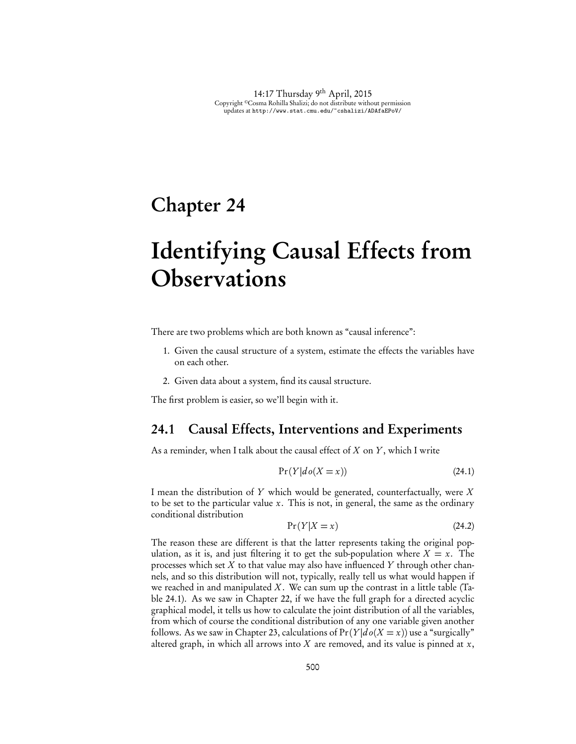## Chapter 24

# Identifying Causal Effects from **Observations**

There are two problems which are both known as "causal inference":

- 1. Given the causal structure of a system, estimate the effects the variables have on each other.
- 2. Given data about a system, find its causal structure.

The first problem is easier, so we'll begin with it.

## 24.1 Causal Effects, Interventions and Experiments

As a reminder, when I talk about the causal effect of *X* on *Y*, which I write

$$
Pr(Y|do(X=x))
$$
\n(24.1)

I mean the distribution of *Y* which would be generated, counterfactually, were *X* to be set to the particular value *x*. This is not, in general, the same as the ordinary conditional distribution

$$
Pr(Y|X=x) \tag{24.2}
$$

The reason these are different is that the latter represents taking the original population, as it is, and just filtering it to get the sub-population where  $X = x$ . The processes which set *X* to that value may also have influenced *Y* through other channels, and so this distribution will not, typically, really tell us what would happen if we reached in and manipulated *X* . We can sum up the contrast in a little table (Table 24.1). As we saw in Chapter 22, if we have the full graph for a directed acyclic graphical model, it tells us how to calculate the joint distribution of all the variables, from which of course the conditional distribution of any one variable given another follows. As we saw in Chapter 23, calculations of  $Pr(Y|do(X = x))$  use a "surgically" altered graph, in which all arrows into *X* are removed, and its value is pinned at *x*,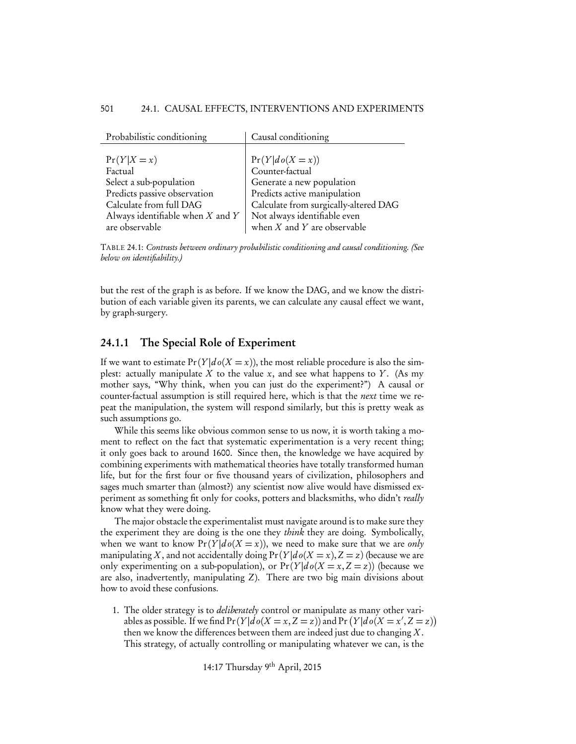| Probabilistic conditioning           | Causal conditioning                   |
|--------------------------------------|---------------------------------------|
|                                      |                                       |
| $Pr(Y X=x)$                          | $Pr(Y do(X = x))$                     |
| Factual                              | Counter-factual                       |
| Select a sub-population              | Generate a new population             |
| Predicts passive observation         | Predicts active manipulation          |
| Calculate from full DAG              | Calculate from surgically-altered DAG |
| Always identifiable when $X$ and $Y$ | Not always identifiable even          |
| are observable                       | when $X$ and $Y$ are observable       |

TABLE 24.1: *Contrasts between ordinary probabilistic conditioning and causal conditioning. (See below on identifiability.)*

but the rest of the graph is as before. If we know the DAG, and we know the distribution of each variable given its parents, we can calculate any causal effect we want, by graph-surgery.

## 24.1.1 The Special Role of Experiment

If we want to estimate  $Pr(Y|d\rho(X=x))$ , the most reliable procedure is also the simplest: actually manipulate *X* to the value *x*, and see what happens to *Y*. (As my mother says, "Why think, when you can just do the experiment?") A causal or counter-factual assumption is still required here, which is that the *next* time we repeat the manipulation, the system will respond similarly, but this is pretty weak as such assumptions go.

While this seems like obvious common sense to us now, it is worth taking a moment to reflect on the fact that systematic experimentation is a very recent thing; it only goes back to around 1600. Since then, the knowledge we have acquired by combining experiments with mathematical theories have totally transformed human life, but for the first four or five thousand years of civilization, philosophers and sages much smarter than (almost?) any scientist now alive would have dismissed experiment as something fit only for cooks, potters and blacksmiths, who didn't *really* know what they were doing.

The major obstacle the experimentalist must navigate around is to make sure they the experiment they are doing is the one they *think* they are doing. Symbolically, when we want to know  $Pr(Y|do(X = x))$ , we need to make sure that we are *only* manipulating *X*, and not accidentally doing  $Pr(Y|do(X = x), Z = z)$  (because we are only experimenting on a sub-population), or  $Pr(Y|do(X=x, Z=z))$  (because we are also, inadvertently, manipulating *Z*). There are two big main divisions about how to avoid these confusions.

1. The older strategy is to *deliberately* control or manipulate as many other variables as possible. If we find  $Pr(Y|do(X = x, Z = z))$  and  $Pr(Y|do(X = x', Z = z))$ then we know the differences between them are indeed just due to changing *X* . This strategy, of actually controlling or manipulating whatever we can, is the

14:17 Thursday 9th April, 2015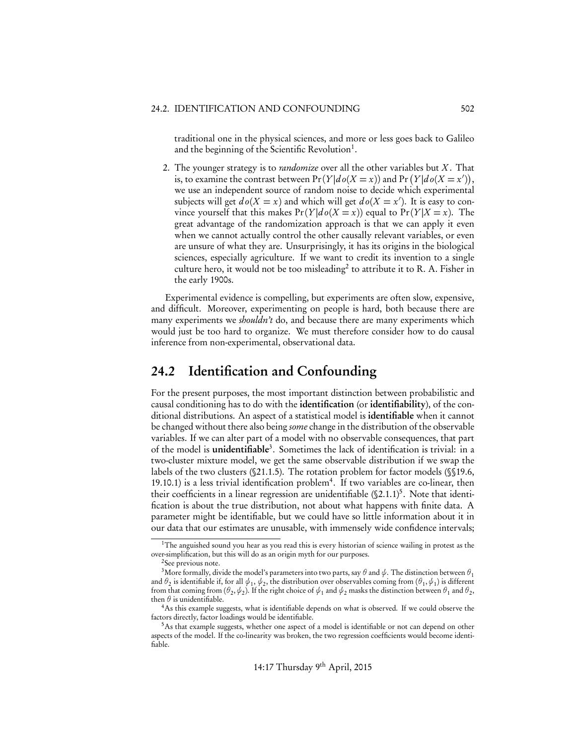traditional one in the physical sciences, and more or less goes back to Galileo and the beginning of the Scientific Revolution<sup>1</sup>.

2. The younger strategy is to *randomize* over all the other variables but *X* . That is, to examine the contrast between  $Pr(Y|do(X = x))$  and  $Pr(Y|do(X = x'))$ , we use an independent source of random noise to decide which experimental subjects will get  $d o(X = x)$  and which will get  $d o(X = x')$ . It is easy to convince yourself that this makes  $Pr(Y|do(X = x))$  equal to  $Pr(Y|X = x)$ . The great advantage of the randomization approach is that we can apply it even when we cannot actually control the other causally relevant variables, or even are unsure of what they are. Unsurprisingly, it has its origins in the biological sciences, especially agriculture. If we want to credit its invention to a single culture hero, it would not be too misleading<sup>2</sup> to attribute it to R. A. Fisher in the early 1900s.

Experimental evidence is compelling, but experiments are often slow, expensive, and difficult. Moreover, experimenting on people is hard, both because there are many experiments we *shouldn't* do, and because there are many experiments which would just be too hard to organize. We must therefore consider how to do causal inference from non-experimental, observational data.

## 24.2 Identification and Confounding

For the present purposes, the most important distinction between probabilistic and causal conditioning has to do with the identification (or identifiability), of the conditional distributions. An aspect of a statistical model is identifiable when it cannot be changed without there also being *some* change in the distribution of the observable variables. If we can alter part of a model with no observable consequences, that part of the model is unidentifiable<sup>3</sup>. Sometimes the lack of identification is trivial: in a two-cluster mixture model, we get the same observable distribution if we swap the labels of the two clusters (§21.1.5). The rotation problem for factor models (§§19.6, 19.10.1) is a less trivial identification problem<sup>4</sup>. If two variables are co-linear, then their coefficients in a linear regression are unidentifiable  $(\S 2.1.1)^5$ . Note that identification is about the true distribution, not about what happens with finite data. A parameter might be identifiable, but we could have so little information about it in our data that our estimates are unusable, with immensely wide confidence intervals;

 $1$ The anguished sound you hear as you read this is every historian of science wailing in protest as the over-simplification, but this will do as an origin myth for our purposes.

<sup>&</sup>lt;sup>2</sup>See previous note.

<sup>&</sup>lt;sup>3</sup>More formally, divide the model's parameters into two parts, say  $\theta$  and  $\phi$ . The distinction between  $\theta_1$ and  $\theta_2$  is identifiable if, for all  $\psi_1$ ,  $\psi_2$ , the distribution over observables coming from  $(\theta_1, \psi_1)$  is different from that coming from  $(\theta_2, \psi_2)$ . If the right choice of  $\psi_1$  and  $\psi_2$  masks the distinction between  $\theta_1$  and  $\theta_2$ , then  $\theta$  is unidentifiable.

<sup>&</sup>lt;sup>4</sup> As this example suggests, what is identifiable depends on what is observed. If we could observe the factors directly, factor loadings would be identifiable.

<sup>5</sup>As that example suggests, whether one aspect of a model is identifiable or not can depend on other aspects of the model. If the co-linearity was broken, the two regression coefficients would become identifiable.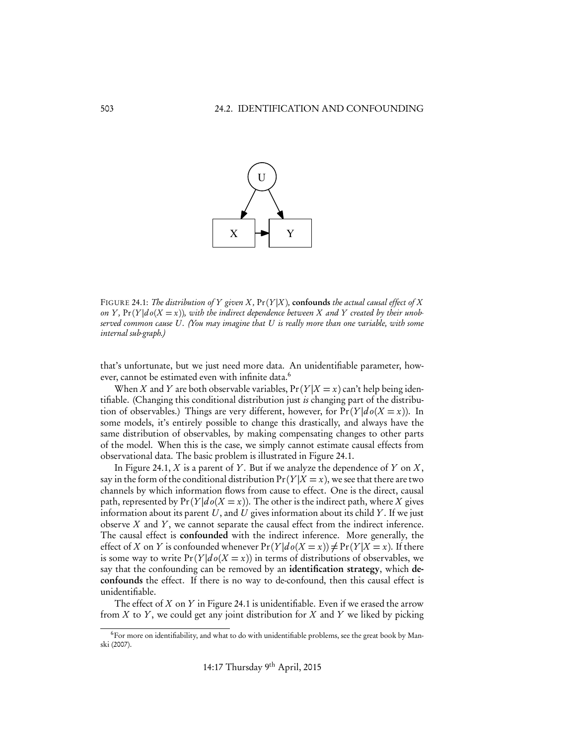

FIGURE 24.1: *The distribution of Y given X ,* Pr(*Y|X* )*,* confounds *the actual causal effect of X* on *Y*,  $Pr(Y|do(X = x))$ *, with the indirect dependence between X and <i>Y* created by their unob*served common cause U . (You may imagine that U is really more than one variable, with some internal sub-graph.)*

that's unfortunate, but we just need more data. An unidentifiable parameter, however, cannot be estimated even with infinite data.<sup>6</sup>

When *X* and *Y* are both observable variables,  $Pr(Y|X=x)$  can't help being identifiable. (Changing this conditional distribution just *is* changing part of the distribution of observables.) Things are very different, however, for  $Pr(Y|do(X=x))$ . In some models, it's entirely possible to change this drastically, and always have the same distribution of observables, by making compensating changes to other parts of the model. When this is the case, we simply cannot estimate causal effects from observational data. The basic problem is illustrated in Figure 24.1.

In Figure 24.1, *X* is a parent of *Y*. But if we analyze the dependence of *Y* on *X* , say in the form of the conditional distribution  $Pr(Y|X=x)$ , we see that there are two channels by which information flows from cause to effect. One is the direct, causal path, represented by  $Pr(Y|do(X = x))$ . The other is the indirect path, where *X* gives information about its parent *U*, and *U* gives information about its child *Y*. If we just observe *X* and *Y*, we cannot separate the causal effect from the indirect inference. The causal effect is confounded with the indirect inference. More generally, the effect of *X* on *Y* is confounded whenever  $Pr(Y|do(X = x)) \neq Pr(Y|X = x)$ . If there is some way to write  $Pr(Y|do(X = x))$  in terms of distributions of observables, we say that the confounding can be removed by an identification strategy, which deconfounds the effect. If there is no way to de-confound, then this causal effect is unidentifiable.

The effect of *X* on *Y* in Figure 24.1 is unidentifiable. Even if we erased the arrow from *X* to *Y*, we could get any joint distribution for *X* and *Y* we liked by picking

 $^6$ For more on identifiability, and what to do with unidentifiable problems, see the great book by Manski (2007).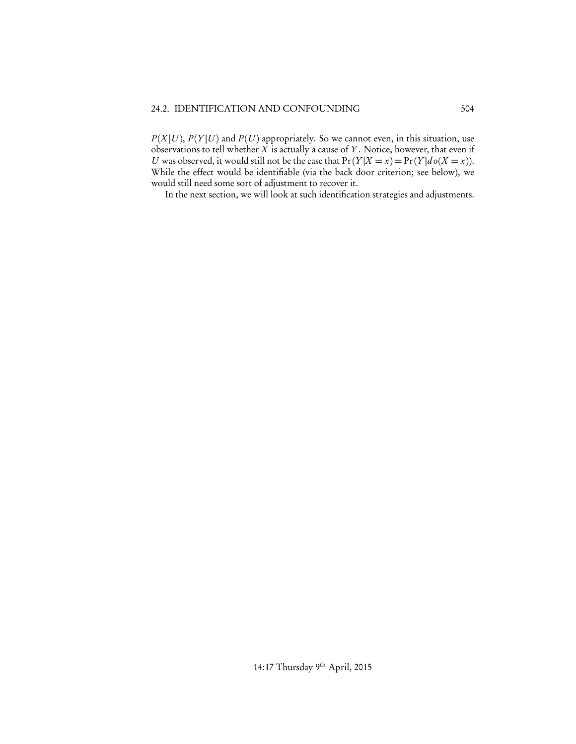$P(X|U)$ ,  $P(Y|U)$  and  $P(U)$  appropriately. So we cannot even, in this situation, use observations to tell whether *X* is actually a cause of *Y*. Notice, however, that even if *U* was observed, it would still not be the case that  $Pr(Y|X=x) = Pr(Y|do(X=x))$ . While the effect would be identifiable (via the back door criterion; see below), we would still need some sort of adjustment to recover it.

In the next section, we will look at such identification strategies and adjustments.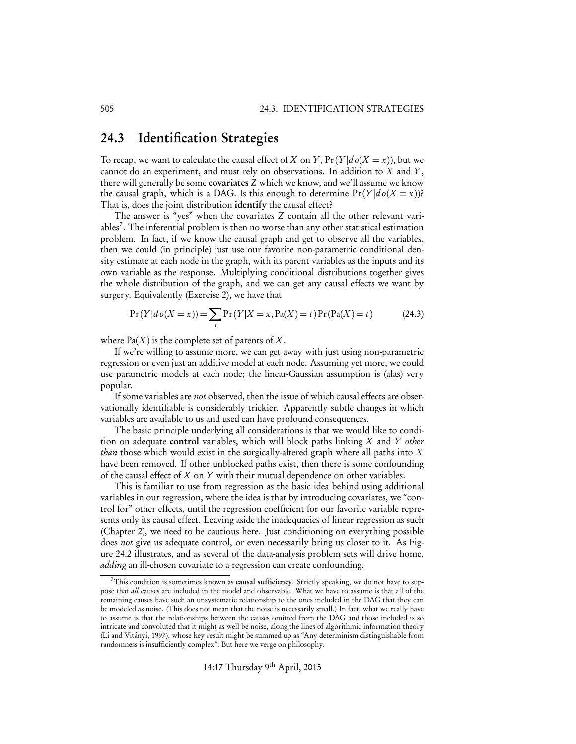## 24.3 Identification Strategies

To recap, we want to calculate the causal effect of *X* on *Y*,  $Pr(Y|do(X = x))$ , but we cannot do an experiment, and must rely on observations. In addition to *X* and *Y*, there will generally be some covariates *Z* which we know, and we'll assume we know the causal graph, which is a DAG. Is this enough to determine  $Pr(Y|do(X = x))$ ? That is, does the joint distribution identify the causal effect?

The answer is "yes" when the covariates *Z* contain all the other relevant variables7. The inferential problem is then no worse than any other statistical estimation problem. In fact, if we know the causal graph and get to observe all the variables, then we could (in principle) just use our favorite non-parametric conditional density estimate at each node in the graph, with its parent variables as the inputs and its own variable as the response. Multiplying conditional distributions together gives the whole distribution of the graph, and we can get any causal effects we want by surgery. Equivalently (Exercise 2), we have that

$$
Pr(Y|do(X = x)) = \sum_{t} Pr(Y|X = x, Pa(X) = t) Pr(Pa(X) = t)
$$
 (24.3)

where  $Pa(X)$  is the complete set of parents of X.

If we're willing to assume more, we can get away with just using non-parametric regression or even just an additive model at each node. Assuming yet more, we could use parametric models at each node; the linear-Gaussian assumption is (alas) very popular.

If some variables are *not* observed, then the issue of which causal effects are observationally identifiable is considerably trickier. Apparently subtle changes in which variables are available to us and used can have profound consequences.

The basic principle underlying all considerations is that we would like to condition on adequate control variables, which will block paths linking *X* and *Y other than* those which would exist in the surgically-altered graph where all paths into *X* have been removed. If other unblocked paths exist, then there is some confounding of the causal effect of *X* on *Y* with their mutual dependence on other variables.

This is familiar to use from regression as the basic idea behind using additional variables in our regression, where the idea is that by introducing covariates, we "control for" other effects, until the regression coefficient for our favorite variable represents only its causal effect. Leaving aside the inadequacies of linear regression as such (Chapter 2), we need to be cautious here. Just conditioning on everything possible does *not* give us adequate control, or even necessarily bring us closer to it. As Figure 24.2 illustrates, and as several of the data-analysis problem sets will drive home, *adding* an ill-chosen covariate to a regression can create confounding.

 $^{7}$ This condition is sometimes known as **causal sufficiency**. Strictly speaking, we do not have to suppose that *all* causes are included in the model and observable. What we have to assume is that all of the remaining causes have such an unsystematic relationship to the ones included in the DAG that they can be modeled as noise. (This does not mean that the noise is necessarily small.) In fact, what we really have to assume is that the relationships between the causes omitted from the DAG and those included is so intricate and convoluted that it might as well be noise, along the lines of algorithmic information theory (Li and Vitányi, 1997), whose key result might be summed up as "Any determinism distinguishable from randomness is insufficiently complex". But here we verge on philosophy.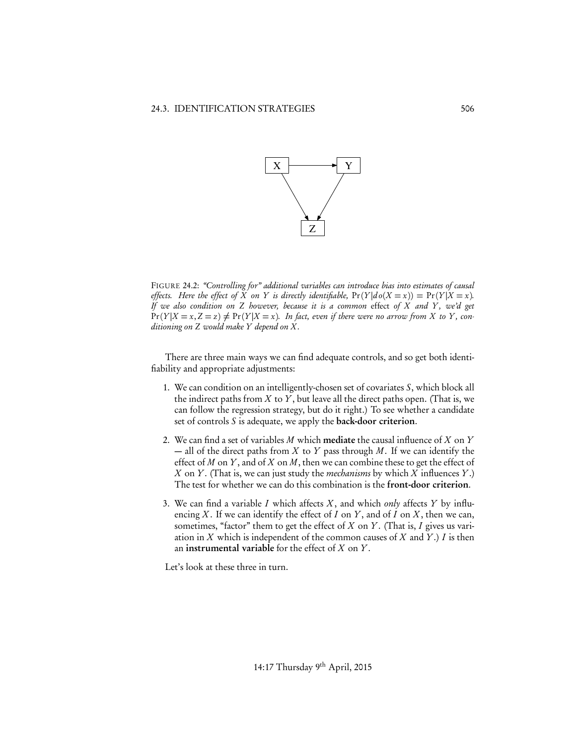

FIGURE 24.2: *"Controlling for" additional variables can introduce bias into estimates of causal effects. Here the effect of*  $X$  *on*  $Y$  *is directly identifiable,*  $Pr(Y|do(X = x)) = Pr(Y|X = x)$ *. If we also condition on Z however, because it is a common* effect *of X and Y , we'd get*  $Pr(Y|X=x, Z=z) \neq Pr(Y|X=x)$ . In fact, even if there were no arrow from X to Y, con*ditioning on Z would make Y depend on X .*

There are three main ways we can find adequate controls, and so get both identifiability and appropriate adjustments:

- 1. We can condition on an intelligently-chosen set of covariates *S*, which block all the indirect paths from *X* to *Y*, but leave all the direct paths open. (That is, we can follow the regression strategy, but do it right.) To see whether a candidate set of controls *S* is adequate, we apply the back-door criterion.
- 2. We can find a set of variables *M* which mediate the causal influence of *X* on *Y* — all of the direct paths from *X* to *Y* pass through *M*. If we can identify the effect of *M* on *Y*, and of *X* on *M*, then we can combine these to get the effect of *X* on *Y*. (That is, we can just study the *mechanisms* by which *X* influences *Y*.) The test for whether we can do this combination is the front-door criterion.
- 3. We can find a variable *I* which affects *X* , and which *only* affects *Y* by influencing *X* . If we can identify the effect of *I* on *Y*, and of *I* on *X* , then we can, sometimes, "factor" them to get the effect of *X* on *Y*. (That is, *I* gives us variation in *X* which is independent of the common causes of *X* and *Y*.) *I* is then an instrumental variable for the effect of *X* on *Y*.

Let's look at these three in turn.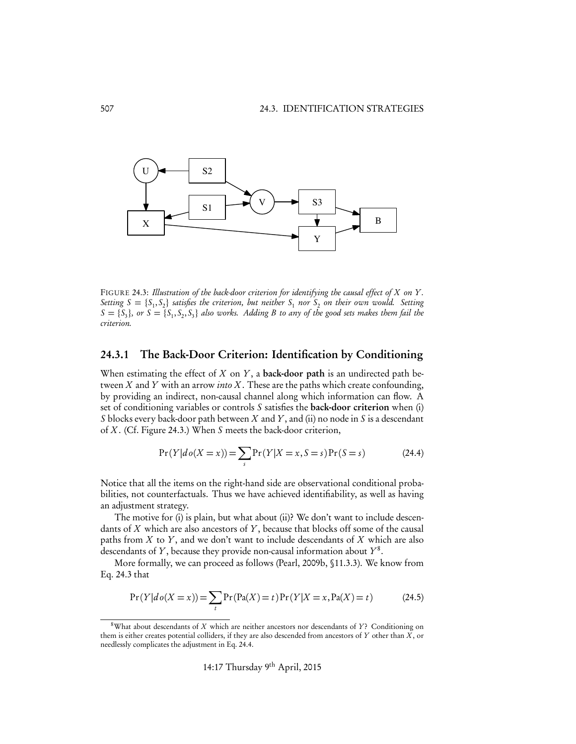

FIGURE 24.3: *Illustration of the back-door criterion for identifying the causal effect of X on Y . Setting*  $S = \{S_1, S_2\}$  *satisfies the criterion, but neither*  $S_1$  *nor*  $S_2$  *on their own would. Setting*  $S = \{S_3\}$ , or  $S = \{S_1, S_2, S_3\}$  also works. Adding B to any of the good sets makes them fail the *criterion.*

#### 24.3.1 The Back-Door Criterion: Identification by Conditioning

When estimating the effect of *X* on *Y*, a back-door path is an undirected path between *X* and *Y* with an arrow *into X* . These are the paths which create confounding, by providing an indirect, non-causal channel along which information can flow. A set of conditioning variables or controls *S* satisfies the back-door criterion when (i) *S* blocks every back-door path between *X* and *Y*, and (ii) no node in *S* is a descendant of *X* . (Cf. Figure 24.3.) When *S* meets the back-door criterion,

$$
Pr(Y|do(X = x)) = \sum_{s} Pr(Y|X = x, S = s) Pr(S = s)
$$
 (24.4)

Notice that all the items on the right-hand side are observational conditional probabilities, not counterfactuals. Thus we have achieved identifiability, as well as having an adjustment strategy.

The motive for (i) is plain, but what about (ii)? We don't want to include descendants of *X* which are also ancestors of *Y*, because that blocks off some of the causal paths from *X* to *Y*, and we don't want to include descendants of *X* which are also descendants of *Y*, because they provide non-causal information about *Y*8.

More formally, we can proceed as follows (Pearl, 2009b, §11.3.3). We know from Eq. 24.3 that

$$
Pr(Y|do(X = x)) = \sum_{t} Pr(Pa(X) = t) Pr(Y|X = x, Pa(X) = t)
$$
\n(24.5)

<sup>8</sup>What about descendants of *X* which are neither ancestors nor descendants of *Y*? Conditioning on them is either creates potential colliders, if they are also descended from ancestors of *Y* other than *X* , or needlessly complicates the adjustment in Eq. 24.4.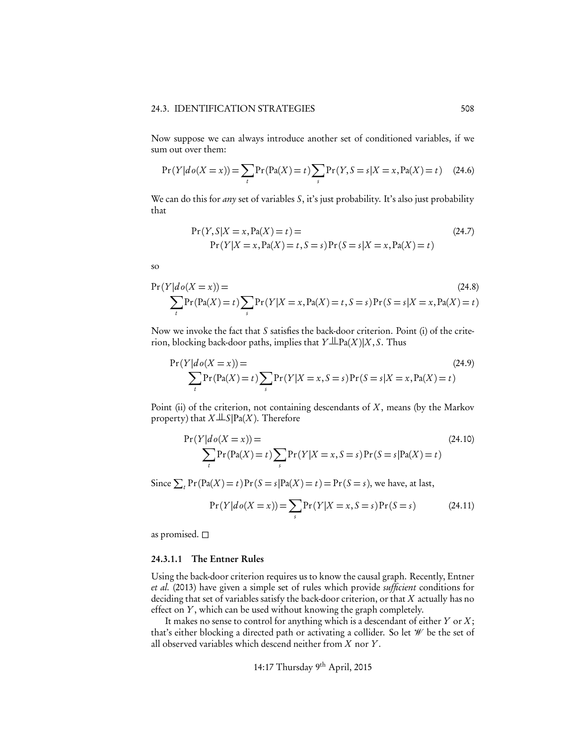Now suppose we can always introduce another set of conditioned variables, if we sum out over them:

$$
Pr(Y|do(X = x)) = \sum_{t} Pr(Pa(X) = t) \sum_{s} Pr(Y, S = s | X = x, Pa(X) = t)
$$
 (24.6)

We can do this for *any* set of variables *S*, it's just probability. It's also just probability that

$$
Pr(Y, S|X = x, Pa(X) = t) = Pr(Y|X = x, Pa(X) = t, S = s)Pr(S = s|X = x, Pa(X) = t)
$$
\n(24.7)

so

$$
\Pr(Y|do(X = x)) = \sum_{t} \Pr(Pa(X) = t) \sum_{s} \Pr(Y|X = x, Pa(X) = t, S = s) \Pr(S = s|X = x, Pa(X) = t)
$$
\n(24.8)

Now we invoke the fact that *S* satisfies the back-door criterion. Point (i) of the criterion, blocking back-door paths, implies that  $Y \perp P_a(X) | X, S$ . Thus

$$
\Pr(Y|do(X = x)) = \sum_{t} \Pr(Pa(X) = t) \sum_{s} \Pr(Y|X = x, S = s) \Pr(S = s|X = x, Pa(X) = t)
$$
\n(24.9)

Point (ii) of the criterion, not containing descendants of *X* , means (by the Markov property) that  $X \perp\!\!\!\perp S | Pa(X)$ . Therefore

$$
\Pr(Y|do(X = x)) = \sum_{t} \Pr(Pa(X) = t) \sum_{s} \Pr(Y|X = x, S = s) \Pr(S = s | Pa(X) = t)
$$
\n(24.10)

Since  $\sum_{t} \Pr(\text{Pa}(X) = t) \Pr(S = s | \text{Pa}(X) = t) = \Pr(S = s)$ , we have, at last,

$$
\Pr(Y|do(X = x)) = \sum_{s} \Pr(Y|X = x, S = s) \Pr(S = s)
$$
\n(24.11)

as promised.  $\square$ 

#### 24.3.1.1 The Entner Rules

Using the back-door criterion requires us to know the causal graph. Recently, Entner *et al.* (2013) have given a simple set of rules which provide *sufficient* conditions for deciding that set of variables satisfy the back-door criterion, or that *X* actually has no effect on *Y*, which can be used without knowing the graph completely.

It makes no sense to control for anything which is a descendant of either *Y* or *X* ; that's either blocking a directed path or activating a collider. So let  $W$  be the set of all observed variables which descend neither from *X* nor *Y*.

14:17 Thursday 9th April, 2015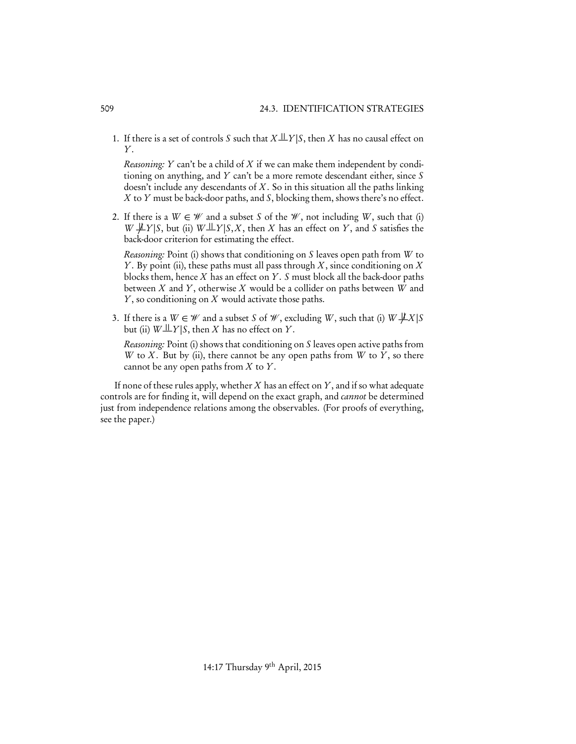1. If there is a set of controls *S* such that  $X \perp \!\!\!\perp Y | S$ , then *X* has no causal effect on *Y*.

*Reasoning: Y* can't be a child of *X* if we can make them independent by conditioning on anything, and *Y* can't be a more remote descendant either, since *S* doesn't include any descendants of *X* . So in this situation all the paths linking *X* to *Y* must be back-door paths, and *S*, blocking them, shows there's no effect.

2. If there is a  $W \in \mathcal{W}$  and a subset *S* of the  $\mathcal{W}$ , not including *W*, such that (i)  $W \not\perp Y | S$ , but (ii)  $W \perp Y | S, X$ , then *X* has an effect on *Y*, and *S* satisfies the back-door criterion for estimating the effect.

*Reasoning:* Point (i) shows that conditioning on *S* leaves open path from *W* to *Y*. By point (ii), these paths must all pass through *X* , since conditioning on *X* blocks them, hence *X* has an effect on *Y*. *S* must block all the back-door paths between *X* and *Y*, otherwise *X* would be a collider on paths between *W* and *Y*, so conditioning on *X* would activate those paths.

3. If there is a  $W \in \mathcal{W}$  and a subset *S* of  $\mathcal{W}$ , excluding *W*, such that (i)  $W \not\perp X/S$ but (ii)  $W \perp \!\!\! \perp Y | S$ , then *X* has no effect on *Y*.

*Reasoning:* Point (i) shows that conditioning on *S* leaves open active paths from *W* to *X* . But by (ii), there cannot be any open paths from *W* to *Y*, so there cannot be any open paths from *X* to *Y*.

If none of these rules apply, whether *X* has an effect on *Y*, and if so what adequate controls are for finding it, will depend on the exact graph, and *cannot* be determined just from independence relations among the observables. (For proofs of everything, see the paper.)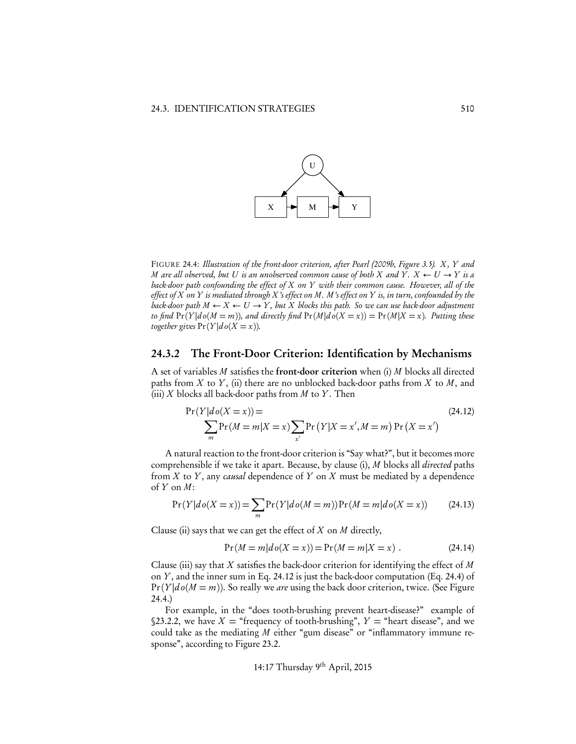

FIGURE 24.4: *Illustration of the front-door criterion, after Pearl (2009b, Figure 3.5). X , Y and M* are all observed, but U is an unobserved common cause of both X and Y.  $X \leftarrow U \rightarrow Y$  is a *back-door path confounding the effect of X on Y with their common cause. However, all of the effect of X on Y is mediated through X 's effect on M . M 's effect on Y is, in turn, confounded by the* back-door path  $M \leftarrow X \leftarrow U \rightarrow Y$ , but X blocks this path. So we can use back-door adjustment *to find*  $Pr(Y|do(M = m))$ *, and directly find*  $Pr(M|do(X = x)) = Pr(M|X = x)$ *. Putting these together gives*  $Pr(Y|d o(X = x))$ .

#### 24.3.2 The Front-Door Criterion: Identification by Mechanisms

A set of variables *M* satisfies the front-door criterion when (i) *M* blocks all directed paths from *X* to *Y*, (ii) there are no unblocked back-door paths from *X* to *M*, and (iii) *X* blocks all back-door paths from *M* to *Y*. Then

$$
\Pr(Y|do(X = x)) = \sum_{m} \Pr(M = m|X = x) \sum_{x'} \Pr(Y|X = x', M = m) \Pr(X = x')
$$
\n(24.12)

A natural reaction to the front-door criterion is "Say what?", but it becomes more comprehensible if we take it apart. Because, by clause (i), *M* blocks all *directed* paths from *X* to *Y*, any *causal* dependence of *Y* on *X* must be mediated by a dependence of *Y* on *M*:

$$
Pr(Y|do(X = x)) = \sum_{m} Pr(Y|do(M = m)) Pr(M = m|do(X = x))
$$
 (24.13)

Clause (ii) says that we can get the effect of *X* on *M* directly,

$$
Pr(M = m| do(X = x)) = Pr(M = m|X = x).
$$
 (24.14)

Clause (iii) say that *X* satisfies the back-door criterion for identifying the effect of *M* on *Y*, and the inner sum in Eq. 24.12 is just the back-door computation (Eq. 24.4) of  $Pr(Y|do(M = m))$ . So really we *are* using the back door criterion, twice. (See Figure 24.4.)

For example, in the "does tooth-brushing prevent heart-disease?" example of  $$23.2.2$ , we have  $X =$  "frequency of tooth-brushing",  $Y =$  "heart disease", and we could take as the mediating *M* either "gum disease" or "inflammatory immune response", according to Figure 23.2.

14:17 Thursday 9th April, 2015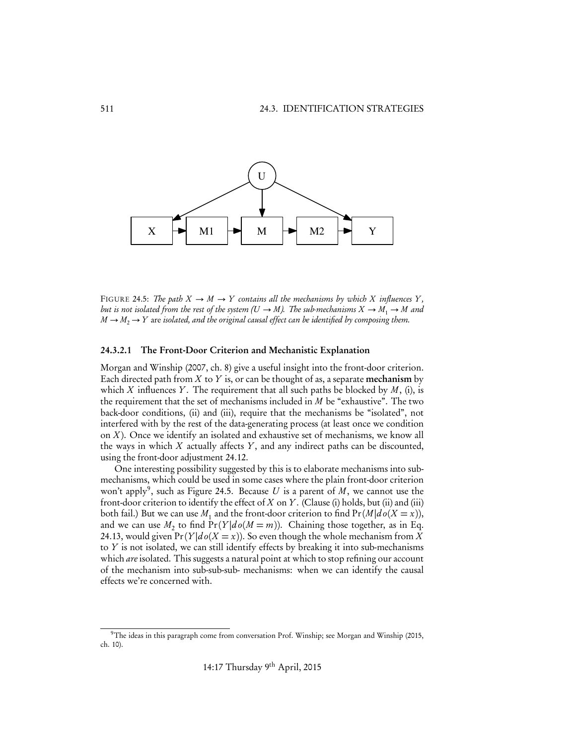

FIGURE 24.5: *The path*  $X \to M \to Y$  contains all the mechanisms by which X influences Y, *but is not isolated from the rest of the system*  $(U \to M)$ *. The sub-mechanisms*  $X \to M_1 \to M$  and  $M \to M_2 \to Y$  are *isolated, and the original causal effect can be identified by composing them.* 

#### 24.3.2.1 The Front-Door Criterion and Mechanistic Explanation

Morgan and Winship (2007, ch. 8) give a useful insight into the front-door criterion. Each directed path from *X* to *Y* is, or can be thought of as, a separate mechanism by which *X* influences *Y*. The requirement that all such paths be blocked by  $M$ , (i), is the requirement that the set of mechanisms included in *M* be "exhaustive". The two back-door conditions, (ii) and (iii), require that the mechanisms be "isolated", not interfered with by the rest of the data-generating process (at least once we condition on *X* ). Once we identify an isolated and exhaustive set of mechanisms, we know all the ways in which *X* actually affects *Y*, and any indirect paths can be discounted, using the front-door adjustment 24.12.

One interesting possibility suggested by this is to elaborate mechanisms into submechanisms, which could be used in some cases where the plain front-door criterion won't apply<sup>9</sup>, such as Figure 24.5. Because  $U$  is a parent of  $M$ , we cannot use the front-door criterion to identify the effect of *X* on *Y*. (Clause (i) holds, but (ii) and (iii) both fail.) But we can use  $M_1$  and the front-door criterion to find  $Pr(M|do(X = x))$ , and we can use  $M_2$  to find  $Pr(Y|do(M = m))$ . Chaining those together, as in Eq. 24.13, would given  $Pr(Y|do(X = x))$ . So even though the whole mechanism from X to *Y* is not isolated, we can still identify effects by breaking it into sub-mechanisms which *are* isolated. This suggests a natural point at which to stop refining our account of the mechanism into sub-sub-sub- mechanisms: when we can identify the causal effects we're concerned with.

 $9$ The ideas in this paragraph come from conversation Prof. Winship; see Morgan and Winship (2015, ch. 10).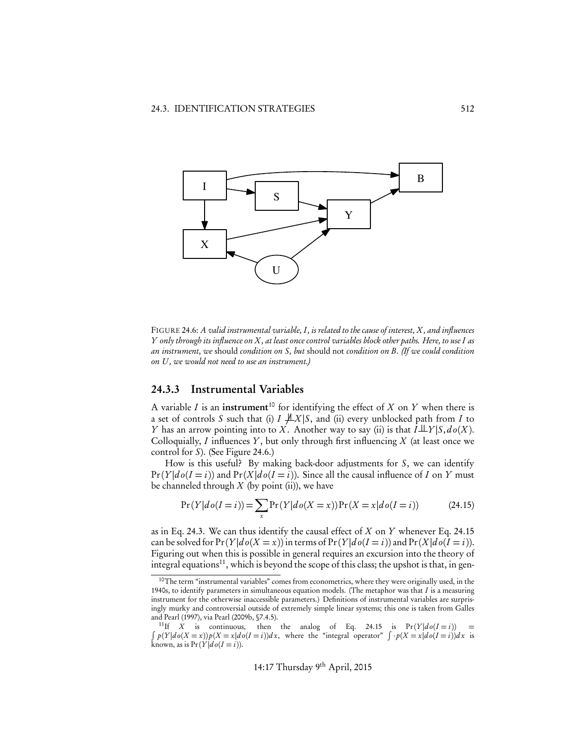

FIGURE 24.6: *A valid instrumental variable, I , is related to the cause of interest, X , and influences Y only through its influence on X , at least once control variables block other paths. Here, to use I as an instrument, we* should *condition on S, but* should not *condition on B. (If we could condition on U , we would not need to use an instrument.)*

#### 24.3.3 Instrumental Variables

A variable  $I$  is an instrument<sup>10</sup> for identifying the effect of  $X$  on  $Y$  when there is a set of controls *S* such that (i)  $I \not\perp X | S$ , and (ii) every unblocked path from *I* to *Y* has an arrow pointing into to *X*. Another way to say (ii) is that  $I \perp V | S, d o(X)$ . Colloquially,  $I$  influences  $Y$ , but only through first influencing  $X$  (at least once we control for *S*). (See Figure 24.6.)

How is this useful? By making back-door adjustments for *S*, we can identify  $Pr(Y|do(I = i))$  and  $Pr(X|do(I = i))$ . Since all the causal influence of *I* on *Y* must be channeled through  $X$  (by point (ii)), we have

$$
Pr(Y|do(I = i)) = \sum_{x} Pr(Y|do(X = x)) Pr(X = x|do(I = i))
$$
\n(24.15)

as in Eq. 24.3. We can thus identify the causal effect of *X* on *Y* whenever Eq. 24.15 can be solved for  $Pr(Y|do(X = x))$  in terms of  $Pr(Y|do(I = i))$  and  $Pr(X|do(I = i))$ . Figuring out when this is possible in general requires an excursion into the theory of integral equations<sup>11</sup>, which is beyond the scope of this class; the upshot is that, in gen-

<sup>&</sup>lt;sup>10</sup>The term "instrumental variables" comes from econometrics, where they were originally used, in the 1940s, to identify parameters in simultaneous equation models. (The metaphor was that *I* is a measuring instrument for the otherwise inaccessible parameters.) Definitions of instrumental variables are surprisingly murky and controversial outside of extremely simple linear systems; this one is taken from Galles and Pearl (1997), via Pearl (2009b, §7.4.5).

<sup>&</sup>lt;sup>11</sup>If X is continuous, then the analog of Eq. 24.15 is  $Pr(Y|do(I = i)) =$ <br> $\int p(Y|do(X = x))p(X = x|do(I = i))dx$ , where the "integral operator"  $\int p(X = x|do(I = i))dx$  is known, as is  $Pr(Y|do(I = i))$ .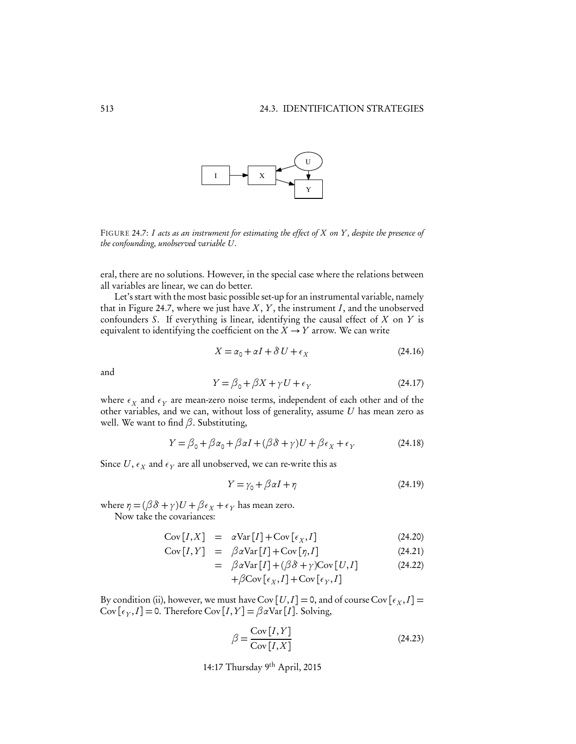

FIGURE 24.7: *I acts as an instrument for estimating the effect of X on Y , despite the presence of the confounding, unobserved variable U .*

eral, there are no solutions. However, in the special case where the relations between all variables are linear, we can do better.

Let's start with the most basic possible set-up for an instrumental variable, namely that in Figure 24.7, where we just have *X* , *Y*, the instrument *I*, and the unobserved confounders *S*. If everything is linear, identifying the causal effect of *X* on *Y* is equivalent to identifying the coefficient on the  $X \rightarrow Y$  arrow. We can write

$$
X = \alpha_0 + \alpha I + \delta U + \epsilon_X \tag{24.16}
$$

and

$$
Y = \beta_0 + \beta X + \gamma U + \epsilon_Y \tag{24.17}
$$

where  $\epsilon_X$  and  $\epsilon_Y$  are mean-zero noise terms, independent of each other and of the other variables, and we can, without loss of generality, assume *U* has mean zero as well. We want to find  $\beta$ . Substituting,

$$
Y = \beta_0 + \beta \alpha_0 + \beta \alpha I + (\beta \delta + \gamma)U + \beta \epsilon_X + \epsilon_Y \tag{24.18}
$$

Since  $U$ ,  $\epsilon_X$  and  $\epsilon_Y$  are all unobserved, we can re-write this as

$$
Y = \gamma_0 + \beta \alpha I + \eta \tag{24.19}
$$

where  $\eta = (\beta \delta + \gamma)U + \beta \epsilon_X + \epsilon_Y$  has mean zero.

Now take the covariances:

$$
Cov[I, X] = \alpha Var[I] + Cov[\epsilon_X, I]
$$
 (24.20)

$$
Cov[I, Y] = \beta \alpha Var[I] + Cov[\eta, I]
$$
 (24.21)

$$
= \beta \alpha \text{Var}[I] + (\beta \delta + \gamma) \text{Cov}[U, I] \tag{24.22}
$$

$$
+\beta \text{Cov}[\epsilon_X, I] + \text{Cov}[\epsilon_Y, I]
$$

By condition (ii), however, we must have Cov  $[U, I] = 0$ , and of course Cov  $[\epsilon_X, I] =$ Cov $[\epsilon_Y, I] = 0$ . Therefore Cov $[I, Y] = \beta \alpha \text{Var}[I]$ . Solving,

$$
\beta = \frac{\text{Cov}[I, Y]}{\text{Cov}[I, X]}
$$
\n(24.23)

14:17 Thursday 9th April, 2015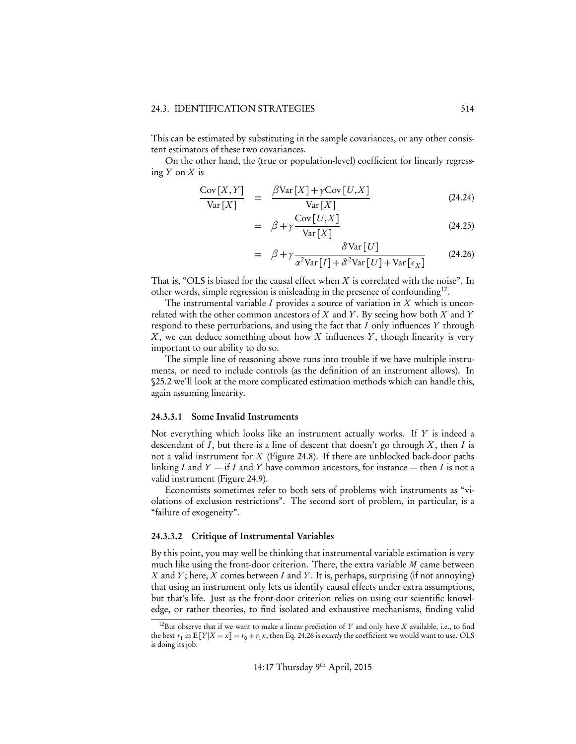This can be estimated by substituting in the sample covariances, or any other consistent estimators of these two covariances.

On the other hand, the (true or population-level) coefficient for linearly regressing *Y* on *X* is

$$
\frac{\text{Cov}[X,Y]}{\text{Var}[X]} = \frac{\beta \text{Var}[X] + \gamma \text{Cov}[U,X]}{\text{Var}[X]}
$$
(24.24)

$$
= \beta + \gamma \frac{\text{Cov}[U, X]}{\text{Var}[X]}
$$
 (24.25)

$$
= \beta + \gamma \frac{\delta \text{Var}[U]}{\alpha^2 \text{Var}[I] + \delta^2 \text{Var}[U] + \text{Var}[\epsilon_X]} \qquad (24.26)
$$

That is, "OLS is biased for the causal effect when *X* is correlated with the noise". In other words, simple regression is misleading in the presence of confounding12.

The instrumental variable *I* provides a source of variation in *X* which is uncorrelated with the other common ancestors of *X* and *Y*. By seeing how both *X* and *Y* respond to these perturbations, and using the fact that *I* only influences *Y* through *X* , we can deduce something about how *X* influences *Y*, though linearity is very important to our ability to do so.

The simple line of reasoning above runs into trouble if we have multiple instruments, or need to include controls (as the definition of an instrument allows). In §25.2 we'll look at the more complicated estimation methods which can handle this, again assuming linearity.

#### 24.3.3.1 Some Invalid Instruments

Not everything which looks like an instrument actually works. If *Y* is indeed a descendant of *I*, but there is a line of descent that doesn't go through *X* , then *I* is not a valid instrument for *X* (Figure 24.8). If there are unblocked back-door paths linking *I* and *Y* — if *I* and *Y* have common ancestors, for instance — then *I* is not a valid instrument (Figure 24.9).

Economists sometimes refer to both sets of problems with instruments as "violations of exclusion restrictions". The second sort of problem, in particular, is a "failure of exogeneity".

#### 24.3.3.2 Critique of Instrumental Variables

By this point, you may well be thinking that instrumental variable estimation is very much like using the front-door criterion. There, the extra variable *M* came between *X* and *Y*; here, *X* comes between *I* and *Y*. It is, perhaps, surprising (if not annoying) that using an instrument only lets us identify causal effects under extra assumptions, but that's life. Just as the front-door criterion relies on using our scientific knowledge, or rather theories, to find isolated and exhaustive mechanisms, finding valid

<sup>12</sup>But observe that if we want to make a linear prediction of *Y* and only have *X* available, i.e., to find the best  $r_1$  in  $E[Y|X=x] = r_0 + r_1x$ , then Eq. 24.26 is *exactly* the coefficient we would want to use. OLS is doing its job.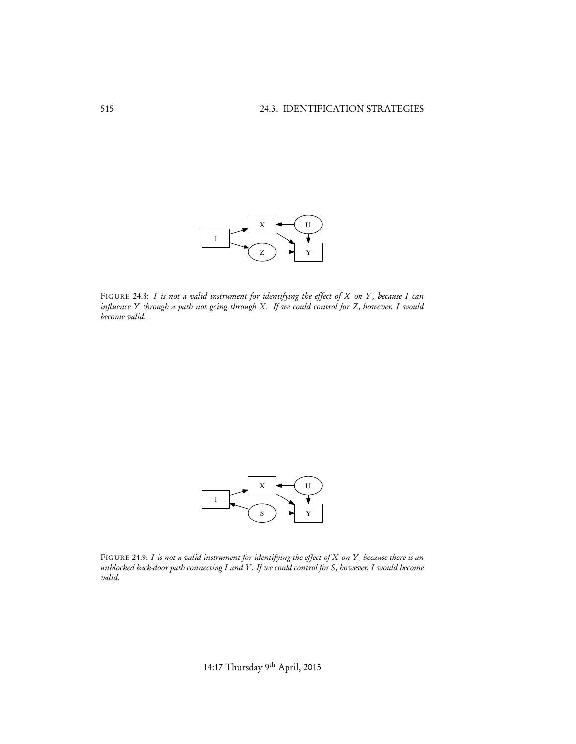

FIGURE 24.8: *I is not a valid instrument for identifying the effect of X on Y , because I can* influence Y through a path not going through X. If we could control for Z, however, I would *become valid.*



FIGURE 24.9: *I is not a valid instrument for identifying the effect of X on Y , because there is an unblocked back-door path connecting I and Y . If we could control for S, however, I would become valid.*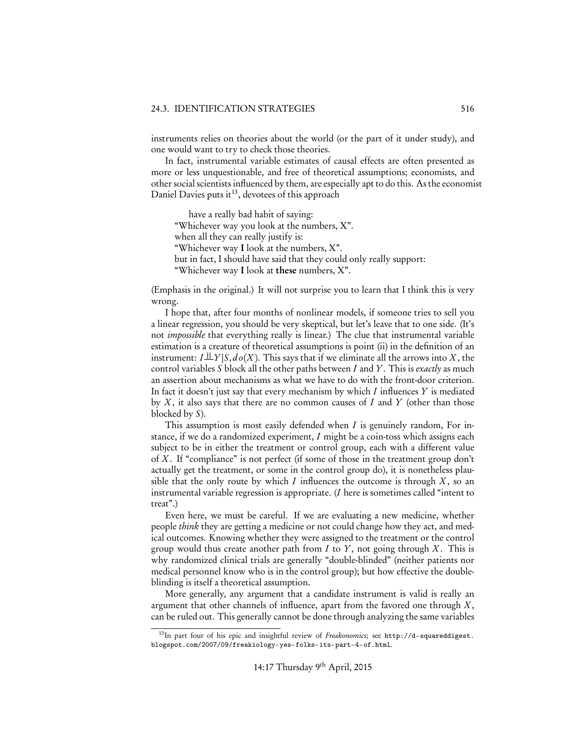instruments relies on theories about the world (or the part of it under study), and one would want to try to check those theories.

In fact, instrumental variable estimates of causal effects are often presented as more or less unquestionable, and free of theoretical assumptions; economists, and other social scientists influenced by them, are especially apt to do this. As the economist Daniel Davies puts it<sup>13</sup>, devotees of this approach

have a really bad habit of saying: "Whichever way you look at the numbers, X". when all they can really justify is: "Whichever way I look at the numbers, X". but in fact, I should have said that they could only really support: "Whichever way I look at these numbers, X".

(Emphasis in the original.) It will not surprise you to learn that I think this is very wrong.

I hope that, after four months of nonlinear models, if someone tries to sell you a linear regression, you should be very skeptical, but let's leave that to one side. (It's not *impossible* that everything really is linear.) The clue that instrumental variable estimation is a creature of theoretical assumptions is point (ii) in the definition of an instrument:  $I \perp Y | S, d \circ (X)$ . This says that if we eliminate all the arrows into X, the control variables *S* block all the other paths between *I* and *Y*. This is *exactly* as much an assertion about mechanisms as what we have to do with the front-door criterion. In fact it doesn't just say that every mechanism by which *I* influences *Y* is mediated by *X* , it also says that there are no common causes of *I* and *Y* (other than those blocked by *S*).

This assumption is most easily defended when *I* is genuinely random, For instance, if we do a randomized experiment, *I* might be a coin-toss which assigns each subject to be in either the treatment or control group, each with a different value of *X* . If "compliance" is not perfect (if some of those in the treatment group don't actually get the treatment, or some in the control group do), it is nonetheless plausible that the only route by which  $I$  influences the outcome is through  $X$ , so an instrumental variable regression is appropriate. (*I* here is sometimes called "intent to treat".)

Even here, we must be careful. If we are evaluating a new medicine, whether people *think* they are getting a medicine or not could change how they act, and medical outcomes. Knowing whether they were assigned to the treatment or the control group would thus create another path from *I* to *Y*, not going through *X* . This is why randomized clinical trials are generally "double-blinded" (neither patients nor medical personnel know who is in the control group); but how effective the doubleblinding is itself a theoretical assumption.

More generally, any argument that a candidate instrument is valid is really an argument that other channels of influence, apart from the favored one through *X* , can be ruled out. This generally cannot be done through analyzing the same variables

<sup>13</sup>In part four of his epic and insightful review of *Freakonomics*; see http://d-squareddigest. blogspot.com/2007/09/freakiology-yes-folks-its-part-4-of.html.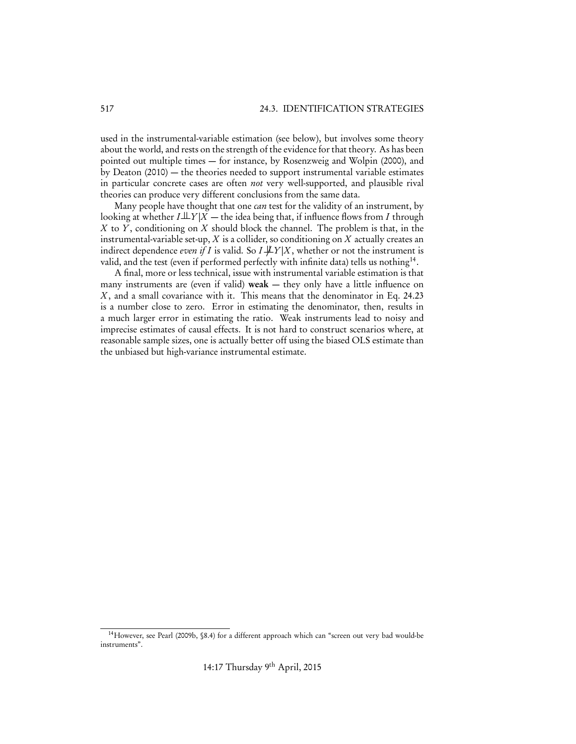used in the instrumental-variable estimation (see below), but involves some theory about the world, and rests on the strength of the evidence for that theory. As has been pointed out multiple times — for instance, by Rosenzweig and Wolpin (2000), and by Deaton (2010) — the theories needed to support instrumental variable estimates in particular concrete cases are often *not* very well-supported, and plausible rival theories can produce very different conclusions from the same data.

Many people have thought that one *can* test for the validity of an instrument, by looking at whether  $I \perp Y|X$  — the idea being that, if influence flows from *I* through *X* to *Y*, conditioning on *X* should block the channel. The problem is that, in the instrumental-variable set-up, *X* is a collider, so conditioning on *X* actually creates an indirect dependence *even if I* is valid. So  $I \not\perp Y | X$ , whether or not the instrument is valid, and the test (even if performed perfectly with infinite data) tells us nothing<sup>14</sup>.

A final, more or less technical, issue with instrumental variable estimation is that many instruments are (even if valid) weak — they only have a little influence on *X* , and a small covariance with it. This means that the denominator in Eq. 24.23 is a number close to zero. Error in estimating the denominator, then, results in a much larger error in estimating the ratio. Weak instruments lead to noisy and imprecise estimates of causal effects. It is not hard to construct scenarios where, at reasonable sample sizes, one is actually better off using the biased OLS estimate than the unbiased but high-variance instrumental estimate.

<sup>14</sup>However, see Pearl (2009b, §8.4) for a different approach which can "screen out very bad would-be instruments".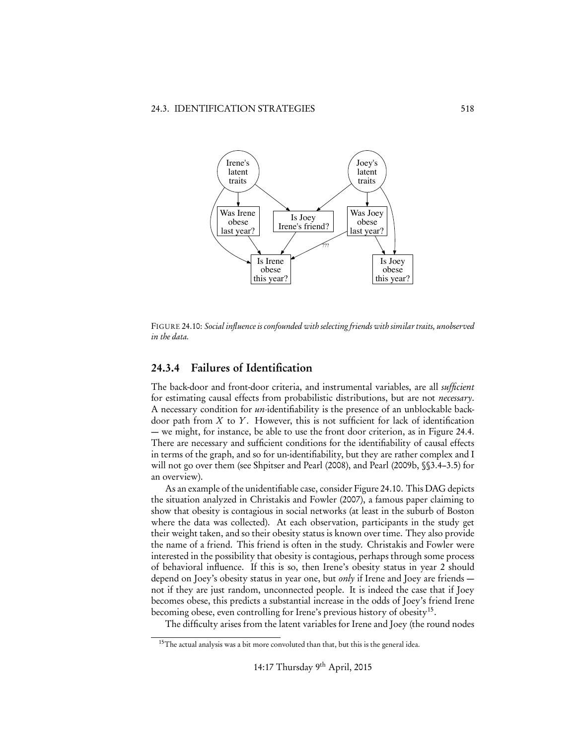

FIGURE 24.10: *Social influence is confounded with selecting friends with similar traits, unobserved in the data.*

## 24.3.4 Failures of Identification

The back-door and front-door criteria, and instrumental variables, are all *sufficient* for estimating causal effects from probabilistic distributions, but are not *necessary*. A necessary condition for *un-*identifiability is the presence of an unblockable backdoor path from *X* to *Y*. However, this is not sufficient for lack of identification — we might, for instance, be able to use the front door criterion, as in Figure 24.4. There are necessary and sufficient conditions for the identifiability of causal effects in terms of the graph, and so for un-identifiability, but they are rather complex and I will not go over them (see Shpitser and Pearl (2008), and Pearl (2009b, §§3.4–3.5) for an overview).

As an example of the unidentifiable case, consider Figure 24.10. This DAG depicts the situation analyzed in Christakis and Fowler (2007), a famous paper claiming to show that obesity is contagious in social networks (at least in the suburb of Boston where the data was collected). At each observation, participants in the study get their weight taken, and so their obesity status is known over time. They also provide the name of a friend. This friend is often in the study. Christakis and Fowler were interested in the possibility that obesity is contagious, perhaps through some process of behavioral influence. If this is so, then Irene's obesity status in year 2 should depend on Joey's obesity status in year one, but *only* if Irene and Joey are friends not if they are just random, unconnected people. It is indeed the case that if Joey becomes obese, this predicts a substantial increase in the odds of Joey's friend Irene becoming obese, even controlling for Irene's previous history of obesity<sup>15</sup>.

The difficulty arises from the latent variables for Irene and Joey (the round nodes

<sup>&</sup>lt;sup>15</sup>The actual analysis was a bit more convoluted than that, but this is the general idea.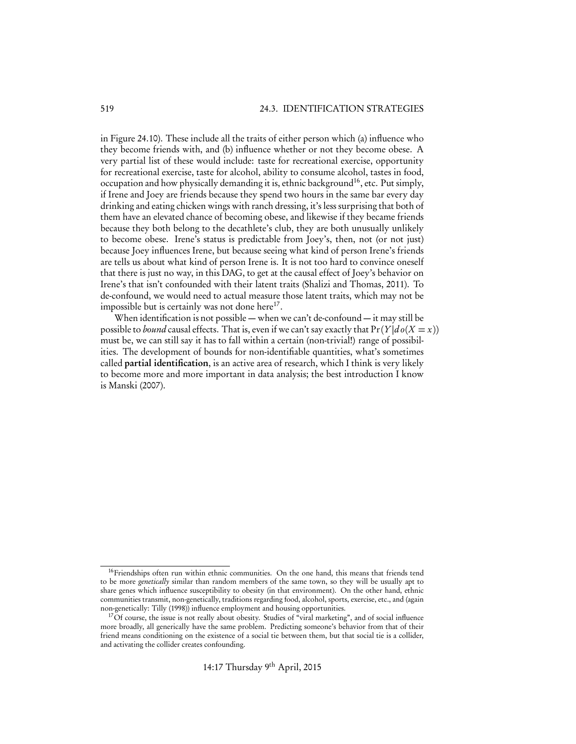in Figure 24.10). These include all the traits of either person which (a) influence who they become friends with, and (b) influence whether or not they become obese. A very partial list of these would include: taste for recreational exercise, opportunity for recreational exercise, taste for alcohol, ability to consume alcohol, tastes in food, occupation and how physically demanding it is, ethnic background<sup>16</sup>, etc. Put simply, if Irene and Joey are friends because they spend two hours in the same bar every day drinking and eating chicken wings with ranch dressing, it's less surprising that both of them have an elevated chance of becoming obese, and likewise if they became friends because they both belong to the decathlete's club, they are both unusually unlikely to become obese. Irene's status is predictable from Joey's, then, not (or not just) because Joey influences Irene, but because seeing what kind of person Irene's friends are tells us about what kind of person Irene is. It is not too hard to convince oneself that there is just no way, in this DAG, to get at the causal effect of Joey's behavior on Irene's that isn't confounded with their latent traits (Shalizi and Thomas, 2011). To de-confound, we would need to actual measure those latent traits, which may not be impossible but is certainly was not done here $^{17}$ .

When identification is not possible — when we can't de-confound — it may still be possible to *bound* causal effects. That is, even if we can't say exactly that  $Pr(Y|d\rho(X=x))$ must be, we can still say it has to fall within a certain (non-trivial!) range of possibilities. The development of bounds for non-identifiable quantities, what's sometimes called partial identification, is an active area of research, which I think is very likely to become more and more important in data analysis; the best introduction I know is Manski (2007).

<sup>&</sup>lt;sup>16</sup>Friendships often run within ethnic communities. On the one hand, this means that friends tend to be more *genetically* similar than random members of the same town, so they will be usually apt to share genes which influence susceptibility to obesity (in that environment). On the other hand, ethnic communities transmit, non-genetically, traditions regarding food, alcohol, sports, exercise, etc., and (again non-genetically: Tilly (1998)) influence employment and housing opportunities.

<sup>&</sup>lt;sup>17</sup>Of course, the issue is not really about obesity. Studies of "viral marketing", and of social influence more broadly, all generically have the same problem. Predicting someone's behavior from that of their friend means conditioning on the existence of a social tie between them, but that social tie is a collider, and activating the collider creates confounding.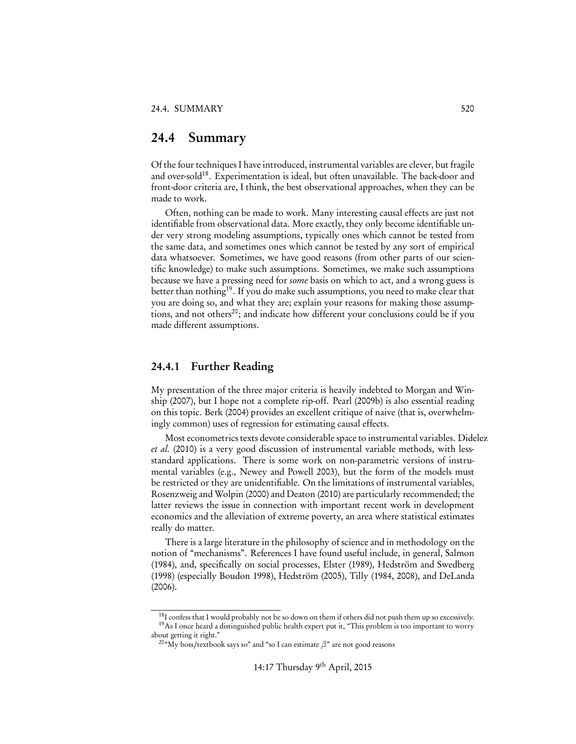## 24.4 Summary

Of the four techniques I have introduced, instrumental variables are clever, but fragile and over-sold<sup>18</sup>. Experimentation is ideal, but often unavailable. The back-door and front-door criteria are, I think, the best observational approaches, when they can be made to work.

Often, nothing can be made to work. Many interesting causal effects are just not identifiable from observational data. More exactly, they only become identifiable under very strong modeling assumptions, typically ones which cannot be tested from the same data, and sometimes ones which cannot be tested by any sort of empirical data whatsoever. Sometimes, we have good reasons (from other parts of our scientific knowledge) to make such assumptions. Sometimes, we make such assumptions because we have a pressing need for *some* basis on which to act, and a wrong guess is better than nothing<sup>19</sup>. If you do make such assumptions, you need to make clear that you are doing so, and what they are; explain your reasons for making those assumptions, and not others<sup>20</sup>; and indicate how different your conclusions could be if you made different assumptions.

#### 24.4.1 Further Reading

My presentation of the three major criteria is heavily indebted to Morgan and Winship (2007), but I hope not a complete rip-off. Pearl (2009b) is also essential reading on this topic. Berk (2004) provides an excellent critique of naive (that is, overwhelmingly common) uses of regression for estimating causal effects.

Most econometrics texts devote considerable space to instrumental variables. Didelez *et al.* (2010) is a very good discussion of instrumental variable methods, with lessstandard applications. There is some work on non-parametric versions of instrumental variables (e.g., Newey and Powell 2003), but the form of the models must be restricted or they are unidentifiable. On the limitations of instrumental variables, Rosenzweig and Wolpin (2000) and Deaton (2010) are particularly recommended; the latter reviews the issue in connection with important recent work in development economics and the alleviation of extreme poverty, an area where statistical estimates really do matter.

There is a large literature in the philosophy of science and in methodology on the notion of "mechanisms". References I have found useful include, in general, Salmon (1984), and, specifically on social processes, Elster (1989), Hedström and Swedberg (1998) (especially Boudon 1998), Hedström (2005), Tilly (1984, 2008), and DeLanda (2006).

<sup>&</sup>lt;sup>18</sup>I confess that I would probably not be so down on them if others did not push them up so excessively. <sup>19</sup>As I once heard a distinguished public health expert put it, "This problem is too important to worry about getting it right."

 $20^{\circ}$ My boss/textbook says so" and "so I can estimate  $\beta$ " are not good reasons